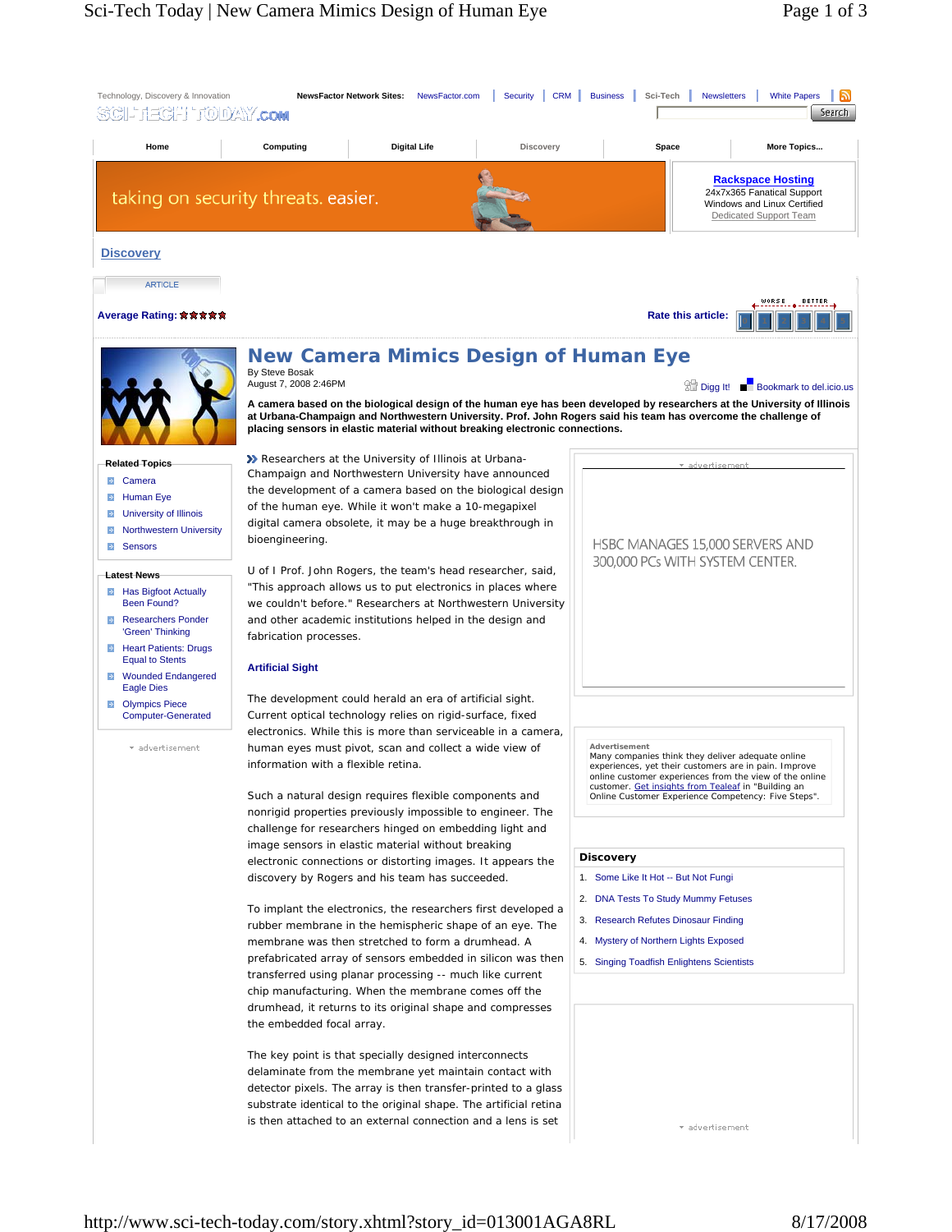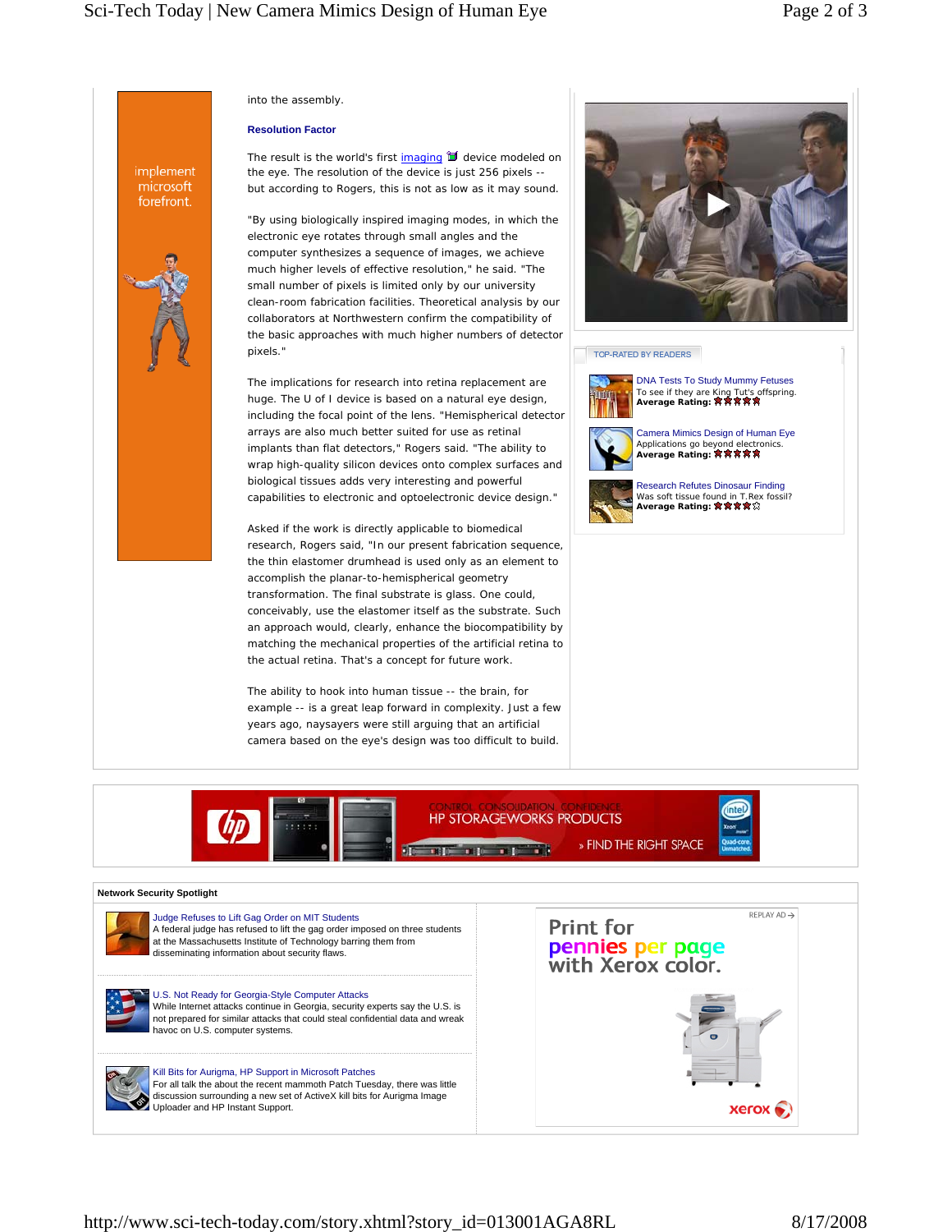into the assembly.

### **Resolution Factor**

implement microsoft forefront.

The result is the world's first imaging  $\mathbb I$  device modeled on the eye. The resolution of the device is just 256 pixels - but according to Rogers, this is not as low as it may sound.

"By using biologically inspired imaging modes, in which the electronic eye rotates through small angles and the computer synthesizes a sequence of images, we achieve much higher levels of effective resolution," he said. "The small number of pixels is limited only by our university clean-room fabrication facilities. Theoretical analysis by our collaborators at Northwestern confirm the compatibility of the basic approaches with much higher numbers of detector pixels."

The implications for research into retina replacement are huge. The U of I device is based on a natural eye design, including the focal point of the lens. "Hemispherical detector arrays are also much better suited for use as retinal implants than flat detectors," Rogers said. "The ability to wrap high-quality silicon devices onto complex surfaces and biological tissues adds very interesting and powerful capabilities to electronic and optoelectronic device design."

Asked if the work is directly applicable to biomedical research, Rogers said, "In our present fabrication sequence, the thin elastomer drumhead is used only as an element to accomplish the planar-to-hemispherical geometry transformation. The final substrate is glass. One could, conceivably, use the elastomer itself as the substrate. Such an approach would, clearly, enhance the biocompatibility by matching the mechanical properties of the artificial retina to the actual retina. That's a concept for future work.

The ability to hook into human tissue -- the brain, for example -- is a great leap forward in complexity. Just a few years ago, naysayers were still arguing that an artificial camera based on the eye's design was too difficult to build.



## TOP-RATED BY READERS





**HP STORAGEWORKS PRODUCTS** 

» FIND THE RIGHT SPACE **BIG BIG BIG** 



### **Network Security Spotlight**



Judge Refuses to Lift Gag Order on MIT Students A federal judge has refused to lift the gag order imposed on three students at the Massachusetts Institute of Technology barring them from disseminating information about security flaws.

U.S. Not Ready for Georgia-Style Computer Attacks While Internet attacks continue in Georgia, security experts say the U.S. is not prepared for similar attacks that could steal confidential data and wreak havoc on U.S. computer systems.

Kill Bits for Aurigma, HP Support in Microsoft Patches For all talk the about the recent mammoth Patch Tuesday, there was little discussion surrounding a new set of ActiveX kill bits for Aurigma Image Uploader and HP Instant Support.